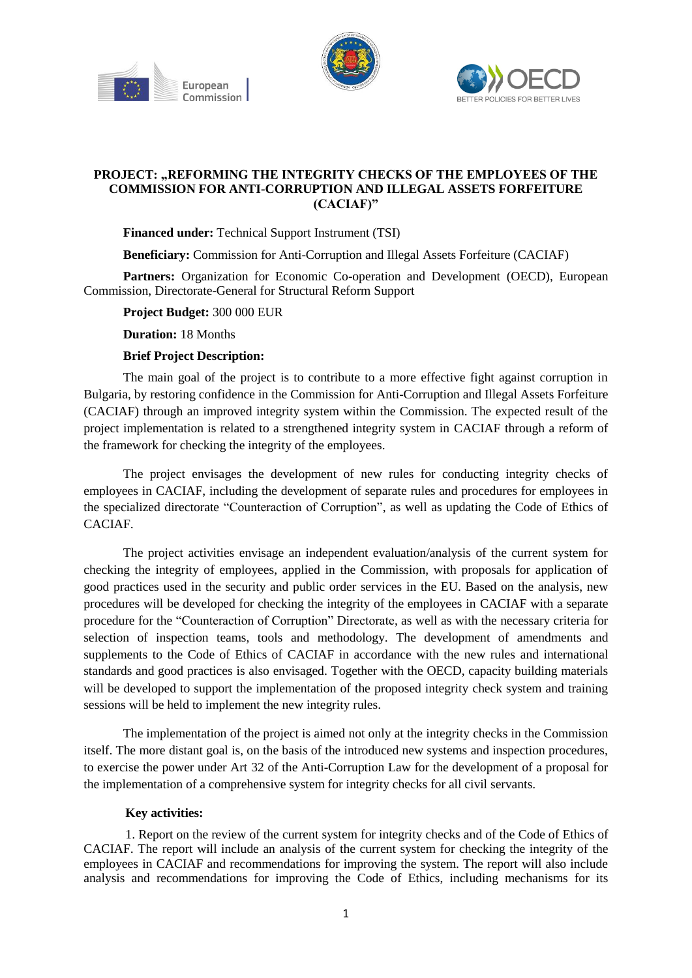





## **PROJECT: "REFORMING THE INTEGRITY CHECKS OF THE EMPLOYEES OF THE COMMISSION FOR ANTI-CORRUPTION AND ILLEGAL ASSETS FORFEITURE (CACIAF)"**

## **Financed under:** Technical Support Instrument (TSI)

**Beneficiary:** Commission for Anti-Corruption and Illegal Assets Forfeiture (CACIAF)

**Partners:** Organization for Economic Co-operation and Development (OECD), European Commission, Directorate-General for Structural Reform Support

**Project Budget:** 300 000 EUR

**Duration:** 18 Months

## **Brief Project Description:**

The main goal of the project is to contribute to a more effective fight against corruption in Bulgaria, by restoring confidence in the Commission for Anti-Corruption and Illegal Assets Forfeiture (CACIAF) through an improved integrity system within the Commission. The expected result of the project implementation is related to a strengthened integrity system in CACIAF through a reform of the framework for checking the integrity of the employees.

The project envisages the development of new rules for conducting integrity checks of employees in CACIAF, including the development of separate rules and procedures for employees in the specialized directorate "Counteraction of Corruption", as well as updating the Code of Ethics of CACIAF.

The project activities envisage an independent evaluation/analysis of the current system for checking the integrity of employees, applied in the Commission, with proposals for application of good practices used in the security and public order services in the EU. Based on the analysis, new procedures will be developed for checking the integrity of the employees in CACIAF with a separate procedure for the "Counteraction of Corruption" Directorate, as well as with the necessary criteria for selection of inspection teams, tools and methodology. The development of amendments and supplements to the Code of Ethics of CACIAF in accordance with the new rules and international standards and good practices is also envisaged. Together with the OECD, capacity building materials will be developed to support the implementation of the proposed integrity check system and training sessions will be held to implement the new integrity rules.

The implementation of the project is aimed not only at the integrity checks in the Commission itself. The more distant goal is, on the basis of the introduced new systems and inspection procedures, to exercise the power under Art 32 of the Anti-Corruption Law for the development of a proposal for the implementation of a comprehensive system for integrity checks for all civil servants.

## **Key activities:**

1. Report on the review of the current system for integrity checks and of the Code of Ethics of CACIAF. The report will include an analysis of the current system for checking the integrity of the employees in CACIAF and recommendations for improving the system. The report will also include analysis and recommendations for improving the Code of Ethics, including mechanisms for its